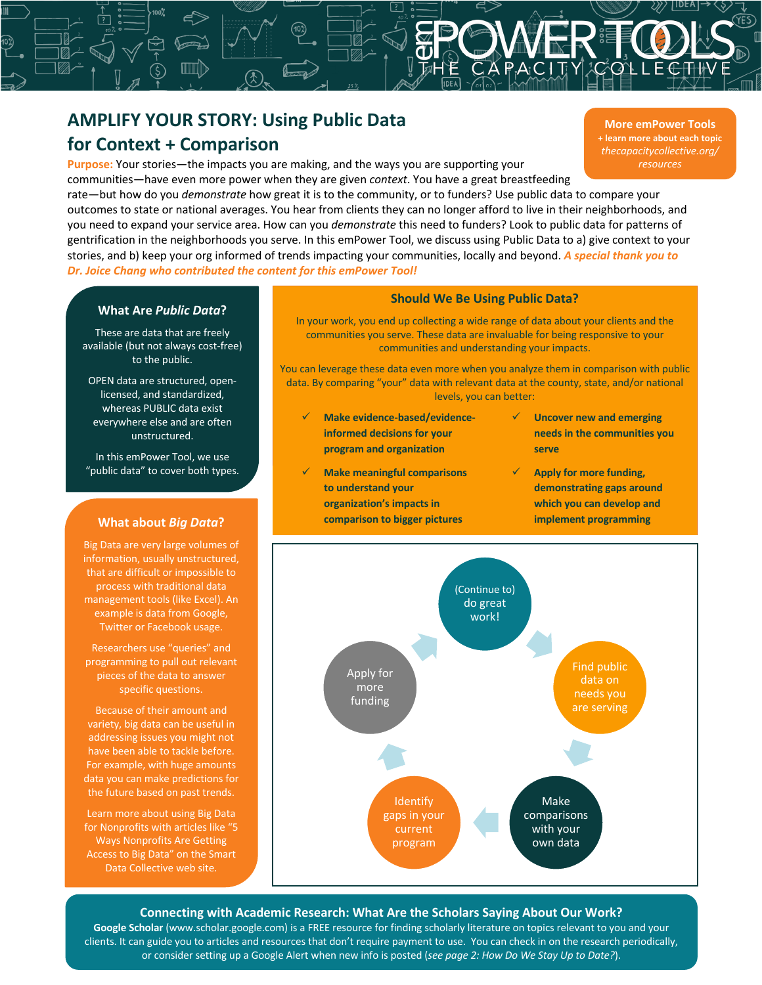# **AMPLIFY YOUR STORY: Using Public Data for Context + Comparison**

**Purpose:** Your stories—the impacts you are making, and the ways you are supporting your

**More emPower Tools + learn more about each topic** *thecapacitycollective.org/ resources*

**Sn**<br> **u** are m<br>
when tl<br>
w great communities—have even more power when they are given *context*. You have a great breastfeeding rate—but how do you *demonstrate* how great it is to the community, or to funders? Use public data to compare your outcomes to state or national averages. You hear from clients they can no longer afford to live in their neighborhoods, and you need to expand your service area. How can you *demonstrate* this need to funders? Look to public data for patterns of gentrification in the neighborhoods you serve. In this emPower Tool, we discuss using Public Data to a) give context to your stories, and b) keep your org informed of trends impacting your communities, locally and beyond. *A special thank you to Dr. Joice Chang who contributed the content for this emPower Tool!*

## **What Are** *Public Data***?**

These are data that are freely available (but not always cost-free) to the public.

OPEN data are structured, openlicensed, and standardized, whereas PUBLIC data exist everywhere else and are often unstructured.

In this emPower Tool, we use "public data" to cover both types.

## **What about** *Big Data***?**

Big Data are very large volumes of information, usually unstructured, that are difficult or impossible to process with traditional data management tools (like Excel). An example is data from Google, Twitter or Facebook usage.

Researchers use "queries" and programming to pull out relevant pieces of the data to answer specific questions.

Because of their amount and variety, big data can be useful in addressing issues you might not have been able to tackle before. For example, with huge amounts data you can make predictions for the future based on past trends.

Learn more about using Big Data for Nonprofits with articles like "5 Ways Nonprofits Are Getting Access to Big Data" on the Smart Data Collective web site.

#### **Should We Be Using Public Data?**

In your work, you end up collecting a wide range of data about your clients and the communities you serve. These data are invaluable for being responsive to your communities and understanding your impacts.

You can leverage these data even more when you analyze them in comparison with public data. By comparing "your" data with relevant data at the county, state, and/or national levels, you can better:

- ü **Make evidence-based/evidenceinformed decisions for your program and organization**
- ü **Make meaningful comparisons to understand your organization's impacts in comparison to bigger pictures**
- **Uncover new and emerging needs in the communities you serve**
- ü **Apply for more funding, demonstrating gaps around which you can develop and implement programming**



#### **Connecting with Academic Research: What Are the Scholars Saying About Our Work?**

**Google Scholar** (www.scholar.google.com) is a FREE resource for finding scholarly literature on topics relevant to you and your clients. It can guide you to articles and resources that don't require payment to use. You can check in on the research periodically, or consider setting up a Google Alert when new info is posted (*see page 2: How Do We Stay Up to Date?*).